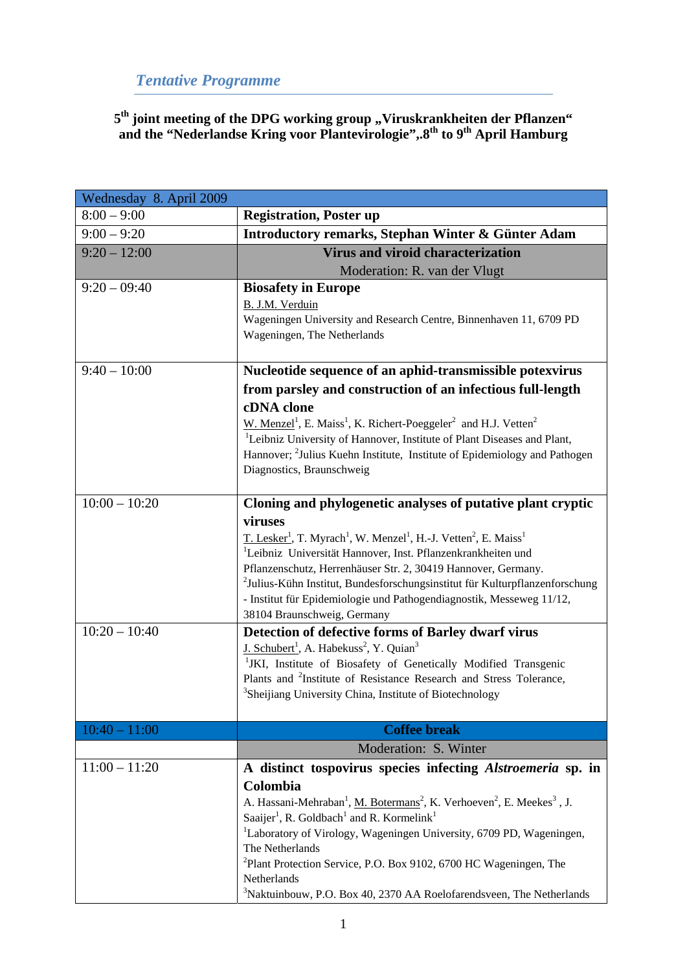# *Tentative Programme*

5<sup>th</sup> joint meeting of the DPG working group ,,Viruskrankheiten der Pflanzen" **and the "Nederlandse Kring voor Plantevirologie",.8th to 9th April Hamburg** 

| Wednesday 8. April 2009 |                                                                                                                                                                                                                                                                                                                                                                                                                                                                                              |
|-------------------------|----------------------------------------------------------------------------------------------------------------------------------------------------------------------------------------------------------------------------------------------------------------------------------------------------------------------------------------------------------------------------------------------------------------------------------------------------------------------------------------------|
| $8:00 - 9:00$           | <b>Registration, Poster up</b>                                                                                                                                                                                                                                                                                                                                                                                                                                                               |
| $9:00 - 9:20$           | Introductory remarks, Stephan Winter & Günter Adam                                                                                                                                                                                                                                                                                                                                                                                                                                           |
| $9:20 - 12:00$          | <b>Virus and viroid characterization</b>                                                                                                                                                                                                                                                                                                                                                                                                                                                     |
|                         | Moderation: R. van der Vlugt                                                                                                                                                                                                                                                                                                                                                                                                                                                                 |
| $9:20 - 09:40$          | <b>Biosafety in Europe</b><br>B. J.M. Verduin<br>Wageningen University and Research Centre, Binnenhaven 11, 6709 PD<br>Wageningen, The Netherlands                                                                                                                                                                                                                                                                                                                                           |
| $9:40 - 10:00$          | Nucleotide sequence of an aphid-transmissible potexvirus                                                                                                                                                                                                                                                                                                                                                                                                                                     |
|                         | from parsley and construction of an infectious full-length<br>cDNA clone<br>W. Menzel <sup>1</sup> , E. Maiss <sup>1</sup> , K. Richert-Poeggeler <sup>2</sup> and H.J. Vetten <sup>2</sup><br><sup>1</sup> Leibniz University of Hannover, Institute of Plant Diseases and Plant,<br>Hannover; <sup>2</sup> Julius Kuehn Institute, Institute of Epidemiology and Pathogen<br>Diagnostics, Braunschweig                                                                                     |
| $10:00 - 10:20$         | Cloning and phylogenetic analyses of putative plant cryptic                                                                                                                                                                                                                                                                                                                                                                                                                                  |
|                         | viruses<br>T. Lesker <sup>1</sup> , T. Myrach <sup>1</sup> , W. Menzel <sup>1</sup> , H.-J. Vetten <sup>2</sup> , E. Maiss <sup>1</sup><br><sup>1</sup> Leibniz Universität Hannover, Inst. Pflanzenkrankheiten und<br>Pflanzenschutz, Herrenhäuser Str. 2, 30419 Hannover, Germany.<br><sup>2</sup> Julius-Kühn Institut, Bundesforschungsinstitut für Kulturpflanzenforschung<br>- Institut für Epidemiologie und Pathogendiagnostik, Messeweg 11/12,<br>38104 Braunschweig, Germany       |
| $10:20 - 10:40$         | Detection of defective forms of Barley dwarf virus                                                                                                                                                                                                                                                                                                                                                                                                                                           |
|                         | J. Schubert <sup>1</sup> , A. Habekuss <sup>2</sup> , Y. Quian <sup>3</sup><br><sup>1</sup> JKI, Institute of Biosafety of Genetically Modified Transgenic<br>Plants and <sup>2</sup> Institute of Resistance Research and Stress Tolerance,<br><sup>3</sup> Sheijiang University China, Institute of Biotechnology                                                                                                                                                                          |
| $10:40 - 11:00$         | <b>Coffee break</b>                                                                                                                                                                                                                                                                                                                                                                                                                                                                          |
|                         | Moderation: S. Winter                                                                                                                                                                                                                                                                                                                                                                                                                                                                        |
| $11:00 - 11:20$         | A distinct tospovirus species infecting <i>Alstroemeria</i> sp. in<br>Colombia<br>A. Hassani-Mehraban <sup>1</sup> , M. Botermans <sup>2</sup> , K. Verhoeven <sup>2</sup> , E. Meekes <sup>3</sup> , J.<br>Saaijer <sup>1</sup> , R. Goldbach <sup>1</sup> and R. Kormelink <sup>1</sup><br><sup>1</sup> Laboratory of Virology, Wageningen University, 6709 PD, Wageningen,<br>The Netherlands<br>${}^{2}$ Plant Protection Service, P.O. Box 9102, 6700 HC Wageningen, The<br>Netherlands |
|                         | <sup>3</sup> Naktuinbouw, P.O. Box 40, 2370 AA Roelofarendsveen, The Netherlands                                                                                                                                                                                                                                                                                                                                                                                                             |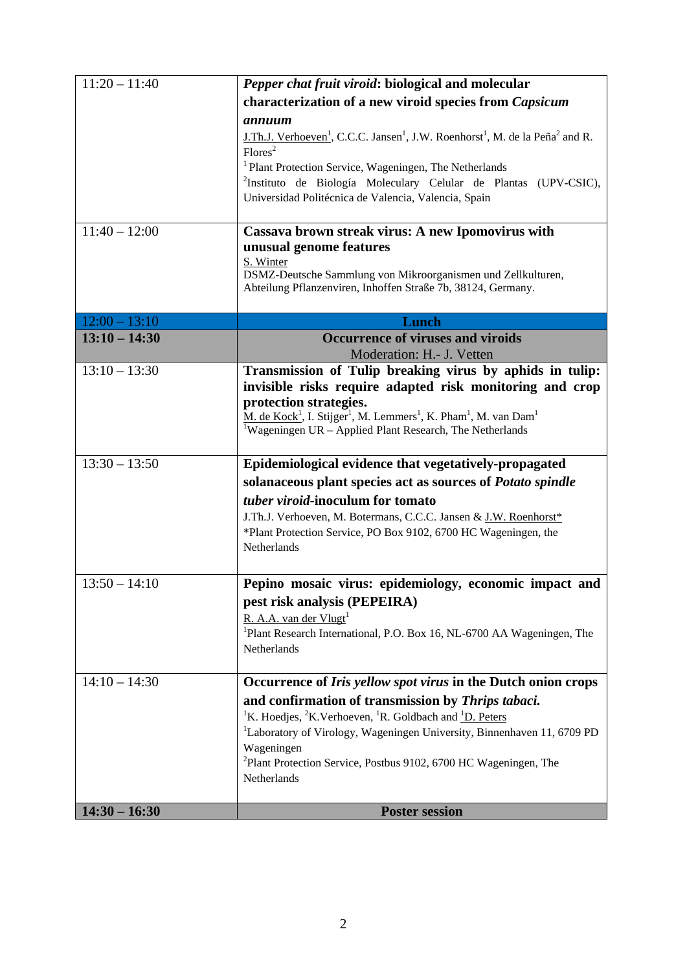| $11:20 - 11:40$ | Pepper chat fruit viroid: biological and molecular                                                                                                                                                                                                                                                                                                                           |
|-----------------|------------------------------------------------------------------------------------------------------------------------------------------------------------------------------------------------------------------------------------------------------------------------------------------------------------------------------------------------------------------------------|
|                 |                                                                                                                                                                                                                                                                                                                                                                              |
|                 | characterization of a new viroid species from Capsicum                                                                                                                                                                                                                                                                                                                       |
|                 | annuum<br>J.Th.J. Verhoeven <sup>1</sup> , C.C.C. Jansen <sup>1</sup> , J.W. Roenhorst <sup>1</sup> , M. de la Peña <sup>2</sup> and R.<br>Flores <sup>2</sup><br><sup>1</sup> Plant Protection Service, Wageningen, The Netherlands<br><sup>2</sup> Instituto de Biología Moleculary Celular de Plantas (UPV-CSIC),<br>Universidad Politécnica de Valencia, Valencia, Spain |
| $11:40 - 12:00$ | Cassava brown streak virus: A new Ipomovirus with                                                                                                                                                                                                                                                                                                                            |
|                 | unusual genome features<br>S. Winter<br>DSMZ-Deutsche Sammlung von Mikroorganismen und Zellkulturen,<br>Abteilung Pflanzenviren, Inhoffen Straße 7b, 38124, Germany.                                                                                                                                                                                                         |
| $12:00 - 13:10$ | Lunch                                                                                                                                                                                                                                                                                                                                                                        |
| $13:10 - 14:30$ | <b>Occurrence of viruses and viroids</b><br>Moderation: H.- J. Vetten                                                                                                                                                                                                                                                                                                        |
| $13:10 - 13:30$ | Transmission of Tulip breaking virus by aphids in tulip:                                                                                                                                                                                                                                                                                                                     |
|                 | invisible risks require adapted risk monitoring and crop<br>protection strategies.<br>M. de Kock <sup>1</sup> , I. Stijger <sup>1</sup> , M. Lemmers <sup>1</sup> , K. Pham <sup>1</sup> , M. van Dam <sup>1</sup><br><sup>1</sup> Wageningen UR – Applied Plant Research, The Netherlands                                                                                   |
| $13:30 - 13:50$ | Epidemiological evidence that vegetatively-propagated                                                                                                                                                                                                                                                                                                                        |
|                 | solanaceous plant species act as sources of Potato spindle                                                                                                                                                                                                                                                                                                                   |
|                 | tuber viroid-inoculum for tomato                                                                                                                                                                                                                                                                                                                                             |
|                 | J.Th.J. Verhoeven, M. Botermans, C.C.C. Jansen & J.W. Roenhorst*<br>*Plant Protection Service, PO Box 9102, 6700 HC Wageningen, the<br>Netherlands                                                                                                                                                                                                                           |
| $13:50 - 14:10$ | Pepino mosaic virus: epidemiology, economic impact and                                                                                                                                                                                                                                                                                                                       |
|                 | pest risk analysis (PEPEIRA)                                                                                                                                                                                                                                                                                                                                                 |
|                 | R. A.A. van der Vlugt <sup>1</sup>                                                                                                                                                                                                                                                                                                                                           |
|                 | <sup>1</sup> Plant Research International, P.O. Box 16, NL-6700 AA Wageningen, The<br>Netherlands                                                                                                                                                                                                                                                                            |
| $14:10 - 14:30$ | Occurrence of Iris yellow spot virus in the Dutch onion crops                                                                                                                                                                                                                                                                                                                |
|                 | and confirmation of transmission by Thrips tabaci.                                                                                                                                                                                                                                                                                                                           |
|                 | <sup>1</sup> K. Hoedjes, <sup>2</sup> K. Verhoeven, <sup>1</sup> R. Goldbach and $\frac{1}{2}D$ . Peters                                                                                                                                                                                                                                                                     |
|                 | <sup>1</sup> Laboratory of Virology, Wageningen University, Binnenhaven 11, 6709 PD                                                                                                                                                                                                                                                                                          |
|                 | Wageningen                                                                                                                                                                                                                                                                                                                                                                   |
|                 | <sup>2</sup> Plant Protection Service, Postbus 9102, 6700 HC Wageningen, The<br>Netherlands                                                                                                                                                                                                                                                                                  |
|                 |                                                                                                                                                                                                                                                                                                                                                                              |
| $14:30 - 16:30$ | <b>Poster session</b>                                                                                                                                                                                                                                                                                                                                                        |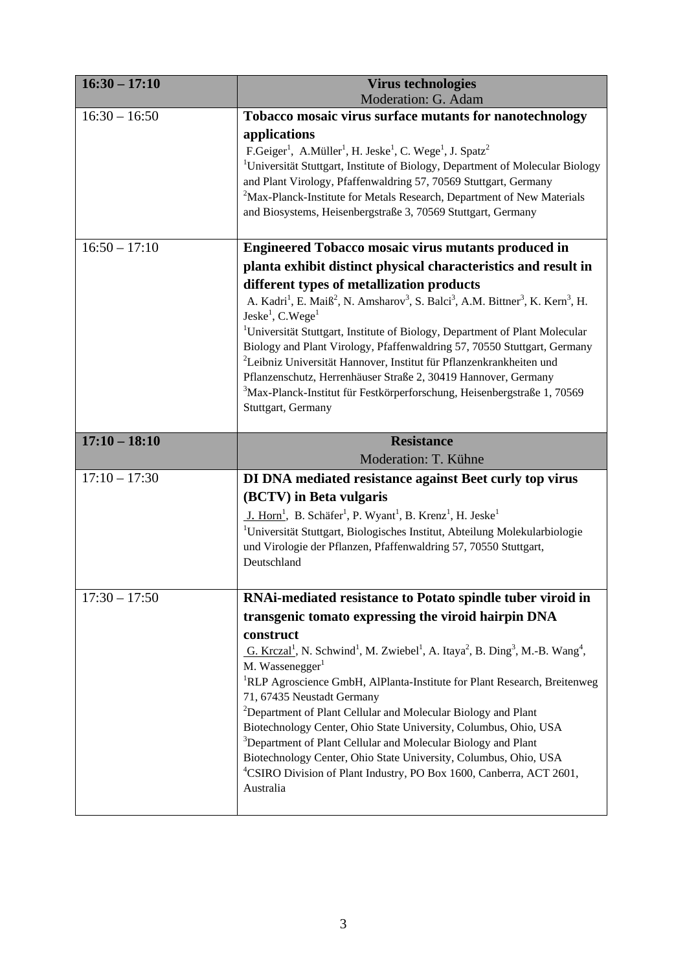| $16:30 - 17:10$ | <b>Virus technologies</b><br>Moderation: G. Adam                                                                                                                                                                                                                                                                                                                                                                                                                                                                                                                                                                                                                                                                          |
|-----------------|---------------------------------------------------------------------------------------------------------------------------------------------------------------------------------------------------------------------------------------------------------------------------------------------------------------------------------------------------------------------------------------------------------------------------------------------------------------------------------------------------------------------------------------------------------------------------------------------------------------------------------------------------------------------------------------------------------------------------|
| $16:30 - 16:50$ | Tobacco mosaic virus surface mutants for nanotechnology                                                                                                                                                                                                                                                                                                                                                                                                                                                                                                                                                                                                                                                                   |
|                 | applications<br>F.Geiger <sup>1</sup> , A.Müller <sup>1</sup> , H. Jeske <sup>1</sup> , C. Wege <sup>1</sup> , J. Spatz <sup>2</sup><br><sup>1</sup> Universität Stuttgart, Institute of Biology, Department of Molecular Biology<br>and Plant Virology, Pfaffenwaldring 57, 70569 Stuttgart, Germany<br><sup>2</sup> Max-Planck-Institute for Metals Research, Department of New Materials<br>and Biosystems, Heisenbergstraße 3, 70569 Stuttgart, Germany                                                                                                                                                                                                                                                               |
| $16:50 - 17:10$ | Engineered Tobacco mosaic virus mutants produced in                                                                                                                                                                                                                                                                                                                                                                                                                                                                                                                                                                                                                                                                       |
|                 | planta exhibit distinct physical characteristics and result in                                                                                                                                                                                                                                                                                                                                                                                                                                                                                                                                                                                                                                                            |
|                 | different types of metallization products                                                                                                                                                                                                                                                                                                                                                                                                                                                                                                                                                                                                                                                                                 |
|                 | A. Kadri <sup>1</sup> , E. Maiß <sup>2</sup> , N. Amsharov <sup>3</sup> , S. Balci <sup>3</sup> , A.M. Bittner <sup>3</sup> , K. Kern <sup>3</sup> , H.<br>Jeske <sup>1</sup> , C.Wege <sup>1</sup><br><sup>1</sup> Universität Stuttgart, Institute of Biology, Department of Plant Molecular<br>Biology and Plant Virology, Pfaffenwaldring 57, 70550 Stuttgart, Germany<br><sup>2</sup> Leibniz Universität Hannover, Institut für Pflanzenkrankheiten und<br>Pflanzenschutz, Herrenhäuser Straße 2, 30419 Hannover, Germany<br><sup>3</sup> Max-Planck-Institut für Festkörperforschung, Heisenbergstraße 1, 70569<br>Stuttgart, Germany                                                                              |
| $17:10 - 18:10$ | <b>Resistance</b>                                                                                                                                                                                                                                                                                                                                                                                                                                                                                                                                                                                                                                                                                                         |
|                 | Moderation: T. Kühne                                                                                                                                                                                                                                                                                                                                                                                                                                                                                                                                                                                                                                                                                                      |
| $17:10 - 17:30$ | DI DNA mediated resistance against Beet curly top virus                                                                                                                                                                                                                                                                                                                                                                                                                                                                                                                                                                                                                                                                   |
|                 | (BCTV) in Beta vulgaris<br>J. Horn <sup>1</sup> , B. Schäfer <sup>1</sup> , P. Wyant <sup>1</sup> , B. Krenz <sup>1</sup> , H. Jeske <sup>1</sup><br><sup>1</sup> Universität Stuttgart, Biologisches Institut, Abteilung Molekularbiologie<br>und Virologie der Pflanzen, Pfaffenwaldring 57, 70550 Stuttgart,<br>Deutschland                                                                                                                                                                                                                                                                                                                                                                                            |
| $17:30 - 17:50$ | RNAi-mediated resistance to Potato spindle tuber viroid in                                                                                                                                                                                                                                                                                                                                                                                                                                                                                                                                                                                                                                                                |
|                 | transgenic tomato expressing the viroid hairpin DNA                                                                                                                                                                                                                                                                                                                                                                                                                                                                                                                                                                                                                                                                       |
|                 | construct<br>G. Krczal <sup>1</sup> , N. Schwind <sup>1</sup> , M. Zwiebel <sup>1</sup> , A. Itaya <sup>2</sup> , B. Ding <sup>3</sup> , M.-B. Wang <sup>4</sup> ,<br>M. Wassenegger <sup>1</sup><br><sup>1</sup> RLP Agroscience GmbH, AlPlanta-Institute for Plant Research, Breitenweg<br>71, 67435 Neustadt Germany<br><sup>2</sup> Department of Plant Cellular and Molecular Biology and Plant<br>Biotechnology Center, Ohio State University, Columbus, Ohio, USA<br><sup>3</sup> Department of Plant Cellular and Molecular Biology and Plant<br>Biotechnology Center, Ohio State University, Columbus, Ohio, USA<br><sup>4</sup> CSIRO Division of Plant Industry, PO Box 1600, Canberra, ACT 2601,<br>Australia |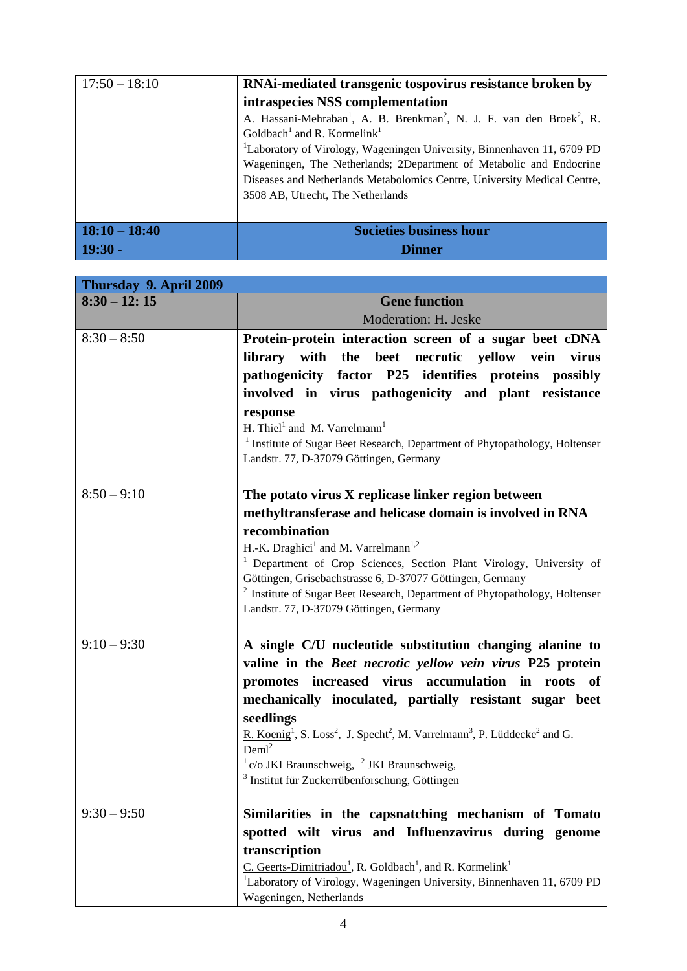| $17:50 - 18:10$ | RNAi-mediated transgenic tospovirus resistance broken by                                                  |
|-----------------|-----------------------------------------------------------------------------------------------------------|
|                 | intraspecies NSS complementation                                                                          |
|                 | A. Hassani-Mehraban <sup>1</sup> , A. B. Brenkman <sup>2</sup> , N. J. F. van den Broek <sup>2</sup> , R. |
|                 | Goldbach <sup>1</sup> and R. Kormelink <sup>1</sup>                                                       |
|                 | <sup>1</sup> Laboratory of Virology, Wageningen University, Binnenhaven 11, 6709 PD                       |
|                 | Wageningen, The Netherlands; 2Department of Metabolic and Endocrine                                       |
|                 | Diseases and Netherlands Metabolomics Centre, University Medical Centre,                                  |
|                 | 3508 AB, Utrecht, The Netherlands                                                                         |
|                 |                                                                                                           |
| $18:10 - 18:40$ | <b>Societies business hour</b>                                                                            |
| $19:30 -$       | <i>i</i> nner                                                                                             |

| Thursday 9. April 2009 |                                                                                                                                                     |
|------------------------|-----------------------------------------------------------------------------------------------------------------------------------------------------|
| $8:30 - 12:15$         | <b>Gene function</b>                                                                                                                                |
|                        | Moderation: H. Jeske                                                                                                                                |
| $8:30 - 8:50$          | Protein-protein interaction screen of a sugar beet cDNA                                                                                             |
|                        | library with the beet necrotic yellow vein virus                                                                                                    |
|                        | pathogenicity factor P25 identifies proteins possibly                                                                                               |
|                        | involved in virus pathogenicity and plant resistance                                                                                                |
|                        | response                                                                                                                                            |
|                        | $H.$ Thiel <sup>1</sup> and M. Varrelmann <sup>1</sup>                                                                                              |
|                        | <sup>1</sup> Institute of Sugar Beet Research, Department of Phytopathology, Holtenser                                                              |
|                        | Landstr. 77, D-37079 Göttingen, Germany                                                                                                             |
| $8:50 - 9:10$          | The potato virus X replicase linker region between                                                                                                  |
|                        | methyltransferase and helicase domain is involved in RNA                                                                                            |
|                        | recombination                                                                                                                                       |
|                        | H.-K. Draghici <sup>1</sup> and <u>M. Varrelmann</u> <sup>1,2</sup>                                                                                 |
|                        | <sup>1</sup> Department of Crop Sciences, Section Plant Virology, University of                                                                     |
|                        | Göttingen, Grisebachstrasse 6, D-37077 Göttingen, Germany<br><sup>2</sup> Institute of Sugar Beet Research, Department of Phytopathology, Holtenser |
|                        | Landstr. 77, D-37079 Göttingen, Germany                                                                                                             |
|                        |                                                                                                                                                     |
| $9:10 - 9:30$          | A single C/U nucleotide substitution changing alanine to                                                                                            |
|                        | valine in the Beet necrotic yellow vein virus P25 protein                                                                                           |
|                        | promotes increased virus accumulation in roots of                                                                                                   |
|                        | mechanically inoculated, partially resistant sugar beet                                                                                             |
|                        | seedlings                                                                                                                                           |
|                        | R. Koenig <sup>1</sup> , S. Loss <sup>2</sup> , J. Specht <sup>2</sup> , M. Varrelmann <sup>3</sup> , P. Lüddecke <sup>2</sup> and G.               |
|                        | Deml <sup>2</sup>                                                                                                                                   |
|                        | $1 \text{ c/o JKI Braunschweig, } 2 \text{ JKI Braunschweig, }$<br><sup>3</sup> Institut für Zuckerrübenforschung, Göttingen                        |
|                        |                                                                                                                                                     |
| $9:30 - 9:50$          | Similarities in the capsnatching mechanism of Tomato                                                                                                |
|                        | spotted wilt virus and Influenzavirus during genome                                                                                                 |
|                        | transcription                                                                                                                                       |
|                        | C. Geerts-Dimitriadou <sup>1</sup> , R. Goldbach <sup>1</sup> , and R. Kormelink <sup>1</sup>                                                       |
|                        | <sup>1</sup> Laboratory of Virology, Wageningen University, Binnenhaven 11, 6709 PD                                                                 |
|                        | Wageningen, Netherlands                                                                                                                             |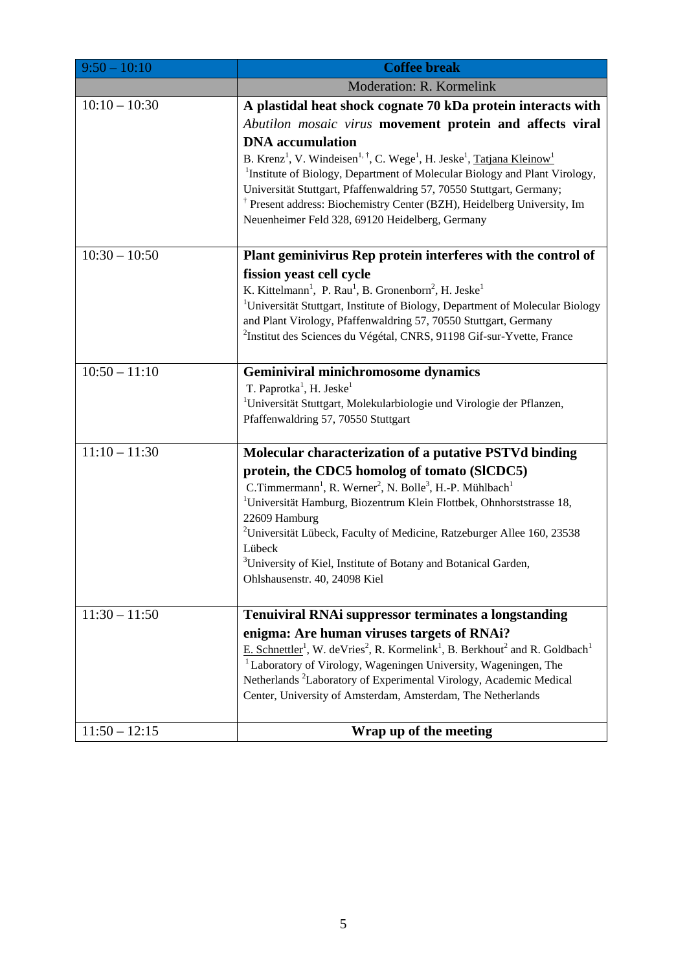| $9:50 - 10:10$  | <b>Coffee break</b>                                                                                                                                            |
|-----------------|----------------------------------------------------------------------------------------------------------------------------------------------------------------|
|                 | Moderation: R. Kormelink                                                                                                                                       |
| $10:10 - 10:30$ | A plastidal heat shock cognate 70 kDa protein interacts with                                                                                                   |
|                 | Abutilon mosaic virus movement protein and affects viral                                                                                                       |
|                 | <b>DNA</b> accumulation                                                                                                                                        |
|                 | B. Krenz <sup>1</sup> , V. Windeisen <sup>1, †</sup> , C. Wege <sup>1</sup> , H. Jeske <sup>1</sup> , Tatjana Kleinow <sup>1</sup>                             |
|                 | <sup>1</sup> Institute of Biology, Department of Molecular Biology and Plant Virology,<br>Universität Stuttgart, Pfaffenwaldring 57, 70550 Stuttgart, Germany; |
|                 | <sup>†</sup> Present address: Biochemistry Center (BZH), Heidelberg University, Im                                                                             |
|                 | Neuenheimer Feld 328, 69120 Heidelberg, Germany                                                                                                                |
|                 |                                                                                                                                                                |
| $10:30 - 10:50$ | Plant geminivirus Rep protein interferes with the control of                                                                                                   |
|                 | fission yeast cell cycle                                                                                                                                       |
|                 | K. Kittelmann <sup>1</sup> , P. Rau <sup>1</sup> , B. Gronenborn <sup>2</sup> , H. Jeske <sup>1</sup>                                                          |
|                 | <sup>1</sup> Universität Stuttgart, Institute of Biology, Department of Molecular Biology<br>and Plant Virology, Pfaffenwaldring 57, 70550 Stuttgart, Germany  |
|                 | <sup>2</sup> Institut des Sciences du Végétal, CNRS, 91198 Gif-sur-Yvette, France                                                                              |
|                 |                                                                                                                                                                |
| $10:50 - 11:10$ | <b>Geminiviral minichromosome dynamics</b>                                                                                                                     |
|                 | T. Paprotka <sup>1</sup> , H. Jeske <sup>1</sup>                                                                                                               |
|                 | <sup>1</sup> Universität Stuttgart, Molekularbiologie und Virologie der Pflanzen,<br>Pfaffenwaldring 57, 70550 Stuttgart                                       |
|                 |                                                                                                                                                                |
| $11:10 - 11:30$ | Molecular characterization of a putative PSTVd binding                                                                                                         |
|                 | protein, the CDC5 homolog of tomato (SICDC5)                                                                                                                   |
|                 | C.Timmermann <sup>1</sup> , R. Werner <sup>2</sup> , N. Bolle <sup>3</sup> , H.-P. Mühlbach <sup>1</sup>                                                       |
|                 | <sup>1</sup> Universität Hamburg, Biozentrum Klein Flottbek, Ohnhorststrasse 18,                                                                               |
|                 | 22609 Hamburg<br><sup>2</sup> Universität Lübeck, Faculty of Medicine, Ratzeburger Allee 160, 23538                                                            |
|                 | Lübeck                                                                                                                                                         |
|                 | <sup>3</sup> University of Kiel, Institute of Botany and Botanical Garden,                                                                                     |
|                 | Ohlshausenstr. 40, 24098 Kiel                                                                                                                                  |
| $11:30 - 11:50$ | <b>Tenuiviral RNAi suppressor terminates a longstanding</b>                                                                                                    |
|                 | enigma: Are human viruses targets of RNAi?                                                                                                                     |
|                 | E. Schnettler <sup>1</sup> , W. deVries <sup>2</sup> , R. Kormelink <sup>1</sup> , B. Berkhout <sup>2</sup> and R. Goldbach <sup>1</sup>                       |
|                 | <sup>1</sup> Laboratory of Virology, Wageningen University, Wageningen, The                                                                                    |
|                 | Netherlands <sup>2</sup> Laboratory of Experimental Virology, Academic Medical                                                                                 |
|                 | Center, University of Amsterdam, Amsterdam, The Netherlands                                                                                                    |
| $11:50 - 12:15$ | Wrap up of the meeting                                                                                                                                         |
|                 |                                                                                                                                                                |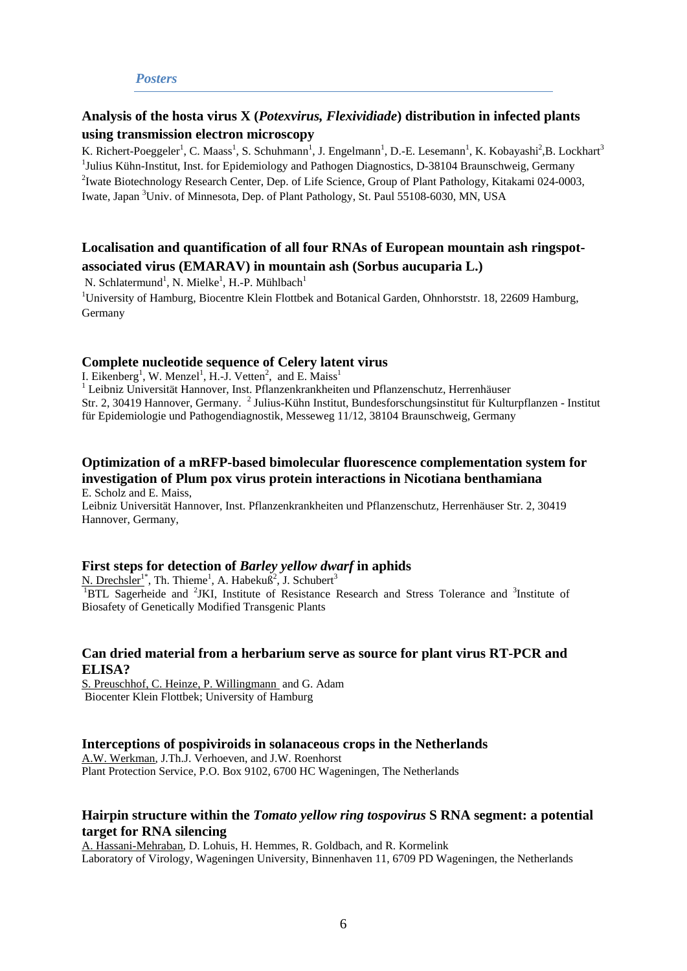#### *Posters*

# **Analysis of the hosta virus X (***Potexvirus, Flexividiade***) distribution in infected plants using transmission electron microscopy**

K. Richert-Poeggeler<sup>1</sup>, C. Maass<sup>1</sup>, S. Schuhmann<sup>1</sup>, J. Engelmann<sup>1</sup>, D.-E. Lesemann<sup>1</sup>, K. Kobayashi<sup>2</sup>,B. Lockhart<sup>3</sup> <sup>1</sup>Julius Kühn-Institut, Inst. for Epidemiology and Pathogen Diagnostics, D-38104 Braunschweig, Germany<br><sup>2</sup>Junta Pietechnology Becessel Center, Dan, of Life Seignes, Group of Plant Pathology, Kitakomi 024,000 <sup>2</sup>Iwate Biotechnology Research Center, Dep. of Life Science, Group of Plant Pathology, Kitakami 024-0003, Iwate, Japan <sup>3</sup>Univ. of Minnesota, Dep. of Plant Pathology, St. Paul 55108-6030, MN, USA

# **Localisation and quantification of all four RNAs of European mountain ash ringspotassociated virus (EMARAV) in mountain ash (Sorbus aucuparia L.)**

N. Schlatermund<sup>1</sup>, N. Mielke<sup>1</sup>, H.-P. Mühlbach<sup>1</sup>

<sup>1</sup>University of Hamburg, Biocentre Klein Flottbek and Botanical Garden, Ohnhorststr. 18, 22609 Hamburg, Germany

## **Complete nucleotide sequence of Celery latent virus**

I. Eikenberg<sup>1</sup>, W. Menzel<sup>1</sup>, H.-J. Vetten<sup>2</sup>, and E. Maiss<sup>1</sup> <sup>1</sup> Leibniz Universität Hannover, Inst. Pflanzenkrankheiten und Pflanzenschutz, Herrenhäuser Str. 2, 30419 Hannover, Germany. <sup>2</sup> Julius-Kühn Institut, Bundesforschungsinstitut für Kulturpflanzen - Institut für Epidemiologie und Pathogendiagnostik, Messeweg 11/12, 38104 Braunschweig, Germany

#### **Optimization of a mRFP-based bimolecular fluorescence complementation system for investigation of Plum pox virus protein interactions in Nicotiana benthamiana**  E. Scholz and E. Maiss,

Leibniz Universität Hannover, Inst. Pflanzenkrankheiten und Pflanzenschutz, Herrenhäuser Str. 2, 30419 Hannover, Germany,

# **First steps for detection of** *Barley yellow dwarf* **in aphids**

N. Drechsler<sup>1\*</sup>, Th. Thieme<sup>1</sup>, A. Habekuß<sup>2</sup>, J. Schubert<sup>3</sup> <sup>1</sup>BTL Sagerheide and <sup>2</sup>JKI, Institute of Resistance Research and Stress Tolerance and <sup>3</sup>Institute of Biosafety of Genetically Modified Transgenic Plants

# **Can dried material from a herbarium serve as source for plant virus RT-PCR and ELISA?**

S. Preuschhof, C. Heinze, P. Willingmann and G. Adam Biocenter Klein Flottbek; University of Hamburg

## **Interceptions of pospiviroids in solanaceous crops in the Netherlands**

A.W. Werkman, J.Th.J. Verhoeven, and J.W. Roenhorst Plant Protection Service, P.O. Box 9102, 6700 HC Wageningen, The Netherlands

# **Hairpin structure within the** *Tomato yellow ring tospovirus* **S RNA segment: a potential target for RNA silencing**

A. Hassani-Mehraban, D. Lohuis, H. Hemmes, R. Goldbach, and R. Kormelink Laboratory of Virology, Wageningen University, Binnenhaven 11, 6709 PD Wageningen, the Netherlands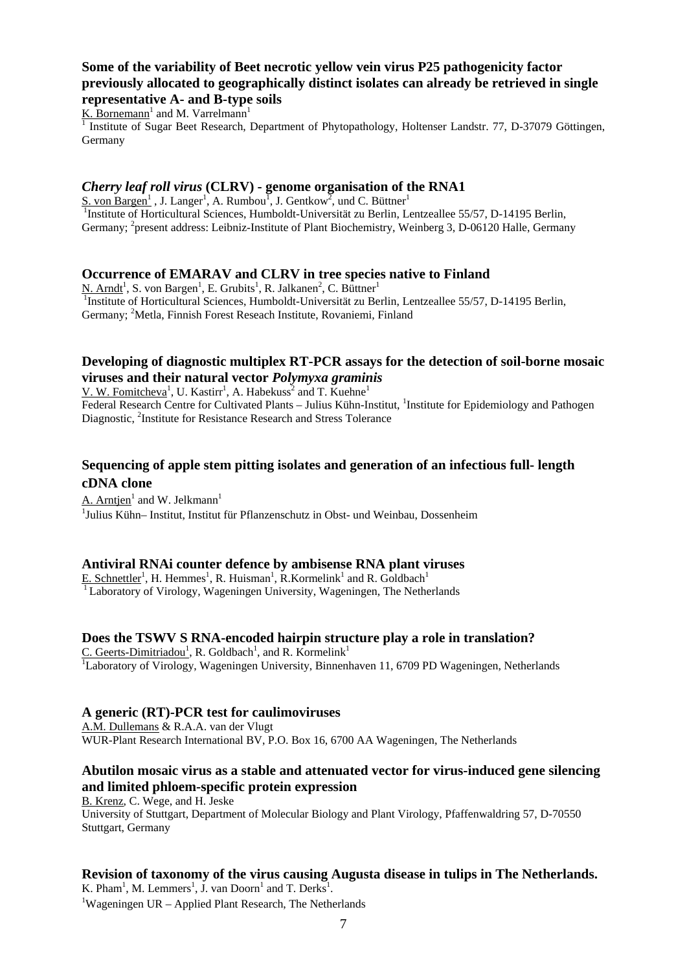## **Some of the variability of Beet necrotic yellow vein virus P25 pathogenicity factor previously allocated to geographically distinct isolates can already be retrieved in single representative A- and B-type soils**

 $K.$  Bornemann<sup>1</sup> and M. Varrelmann<sup>1</sup>

<sup>1</sup> Institute of Sugar Beet Research, Department of Phytopathology, Holtenser Landstr. 77, D-37079 Göttingen, Germany

## *Cherry leaf roll virus* **(CLRV) - genome organisation of the RNA1**

S. von Bargen<sup>1</sup>, J. Langer<sup>1</sup>, A. Rumbou<sup>1</sup>, J. Gentkow<sup>2</sup>, und C. Büttner<sup>1</sup> <sup>1</sup>Institute of Horticultural Sciences, Humboldt-Universität zu Berlin, Lentzeallee 55/57, D-14195 Berlin, Germany; <sup>2</sup> present address: Leibniz-Institute of Plant Biochemistry, Weinberg 3, D-06120 Halle, Germany

#### **Occurrence of EMARAV and CLRV in tree species native to Finland**

 $N$ . Arndt<sup>1</sup>, S. von Bargen<sup>1</sup>, E. Grubits<sup>1</sup>, R. Jalkanen<sup>2</sup>, C. Büttner<sup>1</sup> 1Institute of Horticultural Sciences, Humboldt-Universität zu Berlin, Lentzeallee 55/57, D-14195 Berlin, Germany; <sup>2</sup>Metla, Finnish Forest Reseach Institute, Rovaniemi, Finland

## **Developing of diagnostic multiplex RT-PCR assays for the detection of soil-borne mosaic viruses and their natural vector** *Polymyxa graminis*

, U. Kastirr<sup>1</sup>, A. Habekuss<sup>2</sup> and T. Kuehne<sup>1</sup>

Federal Research Centre for Cultivated Plants - Julius Kühn-Institut, <sup>1</sup>Institute for Epidemiology and Pathogen Diagnostic, <sup>2</sup>Institute for Resistance Research and Stress Tolerance

## **Sequencing of apple stem pitting isolates and generation of an infectious full- length cDNA clone**

A. Arntjen<sup>1</sup> and W. Jelkmann<sup>1</sup> 1 Julius Kühn– Institut, Institut für Pflanzenschutz in Obst- und Weinbau, Dossenheim

#### **Antiviral RNAi counter defence by ambisense RNA plant viruses**

E. Schnettler<sup>1</sup>, H. Hemmes<sup>1</sup>, R. Huisman<sup>1</sup>, R. Kormelink<sup>1</sup> and R. Goldbach<sup>1</sup> <sup>1</sup> Laboratory of Virology, Wageningen University, Wageningen, The Netherlands

#### **Does the TSWV S RNA-encoded hairpin structure play a role in translation?**

C. Geerts-Dimitriadou<sup>1</sup>, R. Goldbach<sup>1</sup>, and R. Kormelink<sup>1</sup> <sup>1</sup>Laboratory of Virology, Wageningen University, Binnenhaven 11, 6709 PD Wageningen, Netherlands

#### **A generic (RT)-PCR test for caulimoviruses**

A.M. Dullemans & R.A.A. van der Vlugt WUR-Plant Research International BV, P.O. Box 16, 6700 AA Wageningen, The Netherlands

# **Abutilon mosaic virus as a stable and attenuated vector for virus-induced gene silencing and limited phloem-specific protein expression**

B. Krenz, C. Wege, and H. Jeske

University of Stuttgart, Department of Molecular Biology and Plant Virology, Pfaffenwaldring 57, D-70550 Stuttgart, Germany

# **Revision of taxonomy of the virus causing Augusta disease in tulips in The Netherlands.**

K. Pham<sup>1</sup>, M. Lemmers<sup>1</sup>, J. van Doorn<sup>1</sup> and T. Derks<sup>1</sup>.<br><sup>1</sup>Weggningen LIB – Applied Plant Bessensh. The Nether <sup>1</sup>Wageningen UR – Applied Plant Research, The Netherlands